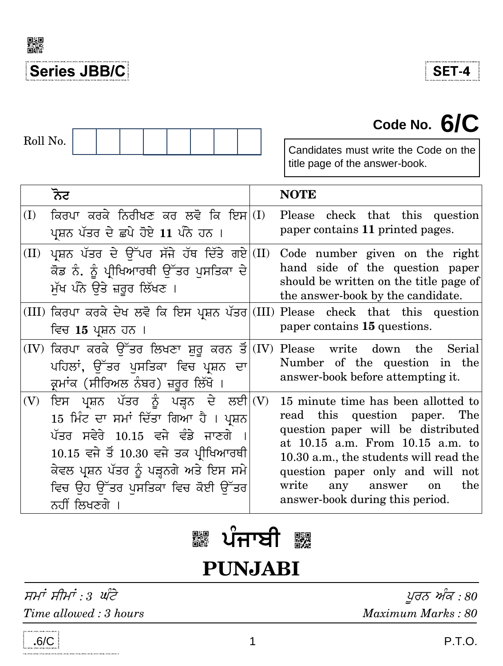

**SET-4** 

**Code No. 6/C**

# Roll No.

Candidates must write the Code on the title page of the answer-book.

|     | ਨੋਟ                                                                                                                                                                                                                                                        | <b>NOTE</b>                                                                                                                                                                                                                                                                                                    |
|-----|------------------------------------------------------------------------------------------------------------------------------------------------------------------------------------------------------------------------------------------------------------|----------------------------------------------------------------------------------------------------------------------------------------------------------------------------------------------------------------------------------------------------------------------------------------------------------------|
| (I) | ਕਿਰਪਾ ਕਰਕੇ ਨਿਰੀਖਣ ਕਰ ਲਵੋ ਕਿ ਇਸ $\vert$ (I)<br>ਪ੍ਰਸ਼ਨ ਪੱਤਰ ਦੇ ਛਪੇ ਹੋਏ 11 ਪੰਨੇ ਹਨ ।                                                                                                                                                                          | Please check that this question<br>paper contains 11 printed pages.                                                                                                                                                                                                                                            |
|     | (II) ਪ੍ਰਸ਼ਨ ਪੱਤਰ ਦੇ ਉੱਪਰ ਸੱਜੇ ਹੱਥ ਦਿੱਤੇ ਗਏ $\vert$ (II)<br>ਕੋਡ ਨੰ. ਨੂੰ ਪ੍ਰੀਖਿਆਰਥੀ ਉੱਤਰ ਪਸਤਿਕਾ ਦੇ<br>ਮੁੱਖ ਪੰਨੇ ਉਤੇ ਜ਼ਰੂਰ ਲਿੱਖਣ ।                                                                                                                            | Code number given on the right<br>hand side of the question paper<br>should be written on the title page of<br>the answer-book by the candidate.                                                                                                                                                               |
|     | (III) ਕਿਰਪਾ ਕਰਕੇ ਦੇਖ ਲਵੋ ਕਿ ਇਸ ਪ੍ਰਸ਼ਨ ਪੱਤਰ (III)<br>ਵਿਚ 15 ਪ੍ਰਸ਼ਨ ਹਨ ।                                                                                                                                                                                     | Please check that this question<br>paper contains 15 questions.                                                                                                                                                                                                                                                |
|     | $(IV)$ ਕਿਰਪਾ ਕਰਕੇ ਉੱਤਰ ਲਿਖਣਾ ਸ਼ੁਰੂ ਕਰਨ ਤੋਂ $ (IV)$ Please write down the<br>ਪਹਿਲਾਂ, ਉੱਤਰ ਪਸਤਿਕਾ ਵਿਚ ਪ੍ਰਸ਼ਨ ਦਾ<br>ਕਮਾਂਕ (ਸੀਰਿਅਲ ਨੰਬਰ) ਜ਼ਰੂਰ ਲਿੱਖੋ ।                                                                                                         | Serial<br>Number of the question in the<br>answer-book before attempting it.                                                                                                                                                                                                                                   |
| (V) | ਇਸ ਪ੍ਰਸ਼ਨ ਪੱਤਰ ਨੂੰ ਪੜ੍ਹਨ ਦੇ ਲਈ (V)<br>15 ਮਿੰਟ ਦਾ ਸਮਾਂ ਦਿੱਤਾ ਗਿਆ ਹੈ । ਪ੍ਰਸ਼ਨ<br>ਪੱਤਰ ਸਵੇਰੇ 10.15 ਵਜੇ ਵੰਡੇ ਜਾਣਗੇ<br>$10.15$ ਵਜੇ ਤੋਂ $10.30$ ਵਜੇ ਤਕ ਪ੍ਰੀਖਿਆਰਥੀ<br>ਕੇਵਲ ਪ੍ਰਸ਼ਨ ਪੱਤਰ ਨੂੰ ਪੜ੍ਹਨਗੇ ਅਤੇ ਇਸ ਸਮੇ<br>ਵਿਚ ਉਹ ਉੱਤਰ ਪਸਤਿਕਾ ਵਿਚ ਕੋਈ ਉੱਤਰ<br>ਨਹੀਂ ਲਿਖਣਗੇ । | 15 minute time has been allotted to<br>read this question paper. The<br>question paper will be distributed<br>at 10.15 a.m. From 10.15 a.m. to<br>10.30 a.m., the students will read the<br>question paper only and will not<br>write<br>the<br>any answer<br><sub>on</sub><br>answer-book during this period. |

## **\¥Op^r PUNJABI**

ਸਮਾਂ ਸੀਮਾਂ : 3 ਘੰਟੇ *- ਡਾਇਰ ਬਾਰਟ ਅੰਕ : 80* 

*Time allowed : 3 hours Maximum Marks : 80*

 **.**6/C **. P.T.O.**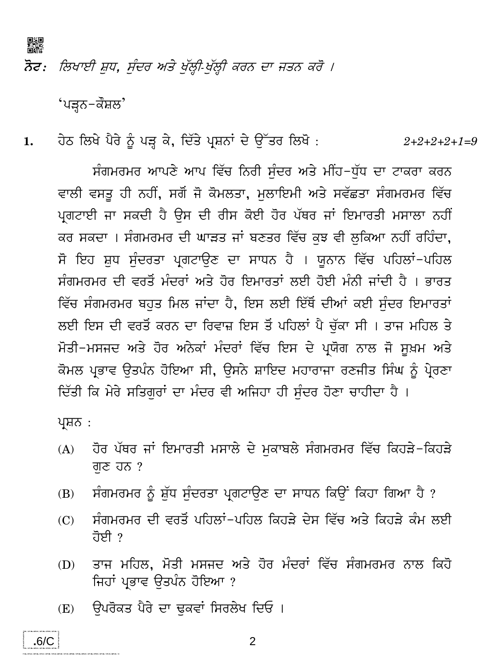

ਨੋਟ: ਲਿਖਾਈ ਸ਼ੁਧ, ਸੰਦਰ ਅਤੇ ਖੁੱਲ੍ਹੀ-ਖੁੱਲ੍ਹੀ ਕਰਨ ਦਾ ਜਤਨ ਕਰੋ ।

'ਪੜ੍ਹਨ−ਕੌਸ਼ਲ'

ਹੇਠ ਲਿਖੇ ਪੈਰੇ ਨੂੰ ਪੜ੍ਹ ਕੇ, ਦਿੱਤੇ ਪ੍ਰਸ਼ਨਾਂ ਦੇ ਉੱਤਰ ਲਿਖੋ :  $1.$  $2+2+2+2+1=9$ 

ਸੰਗਮਰਮਰ ਆਪਣੇ ਆਪ ਵਿੱਚ ਨਿਰੀ ਸੰਦਰ ਅਤੇ ਮੀਂਹ-ਧੱਧ ਦਾ ਟਾਕਰਾ ਕਰਨ ਵਾਲੀ ਵਸਤੂ ਹੀ ਨਹੀਂ, ਸਗੋਂ ਜੋ ਕੋਮਲਤਾ, ਮਲਾਇਮੀ ਅਤੇ ਸਵੱਛਤਾ ਸੰਗਮਰਮਰ ਵਿੱਚ ਪ੍ਰਗਟਾਈ ਜਾ ਸਕਦੀ ਹੈ ਉਸ ਦੀ ਰੀਸ ਕੋਈ ਹੋਰ ਪੱਥਰ ਜਾਂ ਇਮਾਰਤੀ ਮਸਾਲਾ ਨਹੀਂ ਕਰ ਸਕਦਾ । ਸੰਗਮਰਮਰ ਦੀ ਘਾੜਤ ਜਾਂ ਬਣਤਰ ਵਿੱਚ ਕੁਝ ਵੀ ਲੁਕਿਆ ਨਹੀਂ ਰਹਿੰਦਾ, ਸੋ ਇਹ ਸ਼ਧ ਸੰਦਰਤਾ ਪਗਟਾਉਣ ਦਾ ਸਾਧਨ ਹੈ । ਯੂਨਾਨ ਵਿੱਚ ਪਹਿਲਾਂ-ਪਹਿਲ ਸੰਗਮਰਮਰ ਦੀ ਵਰਤੋਂ ਮੰਦਰਾਂ ਅਤੇ ਹੋਰ ਇਮਾਰਤਾਂ ਲਈ ਹੋਈ ਮੰਨੀ ਜਾਂਦੀ ਹੈ । ਭਾਰਤ ਵਿੱਚ ਸੰਗਮਰਮਰ ਬਹੁਤ ਮਿਲ ਜਾਂਦਾ ਹੈ, ਇਸ ਲਈ ਇੱਥੋਂ ਦੀਆਂ ਕਈ ਸੰਦਰ ਇਮਾਰਤਾਂ ਲਈ ਇਸ ਦੀ ਵਰਤੋਂ ਕਰਨ ਦਾ ਰਿਵਾਜ਼ ਇਸ ਤੋਂ ਪਹਿਲਾਂ ਪੈ ਚੱਕਾ ਸੀ । ਤਾਜ ਮਹਿਲ ਤੇ ਮੋਤੀ-ਮਸਜਦ ਅਤੇ ਹੋਰ ਅਨੇਕਾਂ ਮੰਦਰਾਂ ਵਿੱਚ ਇਸ ਦੇ ਪ੍ਰਯੋਗ ਨਾਲ ਜੋ ਸੁਖ਼ਮ ਅਤੇ ਕੋਮਲ ਪ੍ਰਭਾਵ ਉਤਪੰਨ ਹੋਇਆ ਸੀ, ਉਸਨੇ ਸ਼ਾਇਦ ਮਹਾਰਾਜਾ ਰਣਜੀਤ ਸਿੰਘ ਨੂੰ ਪ੍ਰੇਰਣਾ ਦਿੱਤੀ ਕਿ ਮੇਰੇ ਸਤਿਗਰਾਂ ਦਾ ਮੰਦਰ ਵੀ ਅਜਿਹਾ ਹੀ ਸੰਦਰ ਹੋਣਾ ਚਾਹੀਦਾ ਹੈ ।

ਪ੍ਰਸ਼ਨ :

- ਹੋਰ ਪੱਥਰ ਜਾਂ ਇਮਾਰਤੀ ਮਸਾਲੇ ਦੇ ਮਕਾਬਲੇ ਸੰਗਮਰਮਰ ਵਿੱਚ ਕਿਹੜੇ-ਕਿਹੜੇ  $(A)$ ਗਣ ਹਨ ?
- ਸੰਗਮਰਮਰ ਨੂੰ ਸ਼ੱਧ ਸੰਦਰਤਾ ਪ੍ਰਗਟਾਉਣ ਦਾ ਸਾਧਨ ਕਿਉਂ ਕਿਹਾ ਗਿਆ ਹੈ ?  $(B)$
- ਸੰਗਮਰਮਰ ਦੀ ਵਰਤੋਂ ਪਹਿਲਾਂ-ਪਹਿਲ ਕਿਹੜੇ ਦੇਸ ਵਿੱਚ ਅਤੇ ਕਿਹੜੇ ਕੰਮ ਲਈ  $(C)$ ਹੋਈ ?
- ਤਾਜ ਮਹਿਲ. ਮੋਤੀ ਮਸਜਦ ਅਤੇ ਹੋਰ ਮੰਦਰਾਂ ਵਿੱਚ ਸੰਗਮਰਮਰ ਨਾਲ ਕਿਹੋ  $(D)$ ਜਿਹਾਂ ਪ੍ਰਭਾਵ ਉਤਪੰਨ ਹੋਇਆ ?
- ਉਪਰੋਕਤ ਪੈਰੇ ਦਾ ਢੁਕਵਾਂ ਸਿਰਲੇਖ ਦਿਓ।  $(E)$



.<br>2000 - De La Britan, amerikan bernama di Kabupatén Kabupatén Jawa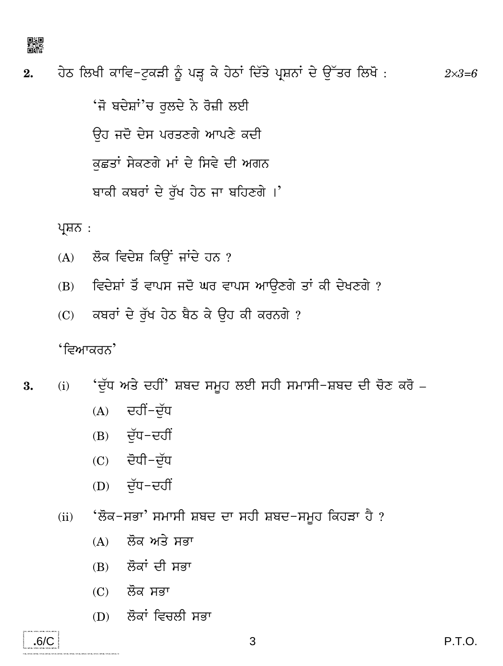

ਹੇਠ ਲਿਖੀ ਕਾਵਿ–ਟੁਕੜੀ ਨੂੰ ਪੜ੍ਹ ਕੇ ਹੇਠਾਂ ਦਿੱਤੇ ਪ੍ਰਸ਼ਨਾਂ ਦੇ ਉੱਤਰ ਲਿਖੋ :  $2.$  $2 \times 3 = 6$ 

> 'ਜੋ ਬਦੇਸ਼ਾਂ'ਚ ਰੁਲਦੇ ਨੇ ਰੋਜ਼ੀ ਲਈ ਓਹ ਜਦੋ ਦੇਸ ਪਰਤਣਗੇ ਆਪਣੇ ਕਦੀ ਕਛਤਾਂ ਸੇਕਣਗੇ ਮਾਂ ਦੇ ਸਿਵੇ ਦੀ ਅਗਨ ਬਾਕੀ ਕਬਰਾਂ ਦੇ ਰੱਖ ਹੇਠ ਜਾ ਬਹਿਣਗੇ।'

ਪ੍ਰਸ਼ਨ :

- ਲੋਕ ਵਿਦੇਸ਼ ਕਿਉਂ ਜਾਂਦੇ ਹਨ ?  $(A)$
- ਵਿਦੇਸ਼ਾਂ ਤੋਂ ਵਾਪਸ ਜਦੋ ਘਰ ਵਾਪਸ ਆਉਣਗੇ ਤਾਂ ਕੀ ਦੇਖਣਗੇ ?  $(B)$
- ਕਬਰਾਂ ਦੇ ਰੱਖ ਹੇਠ ਬੈਠ ਕੇ ਉਹ ਕੀ ਕਰਨਗੇ ?  $(C)$

'*ਵਿ*ਆਕਰਨ'

- 'ਦੱਧ ਅਤੇ ਦਹੀਂ' ਸ਼ਬਦ ਸਮੂਹ ਲਈ ਸਹੀ ਸਮਾਸੀ-ਸ਼ਬਦ ਦੀ ਚੋਣ ਕਰੋ  $(i)$ 3.
	- ਦਹੀਂ-ਦੱਧ  $(A)$
	- (B) ਦੱਧ-ਦਹੀਂ
	- $(C)$  ਦੋਧੀ-ਦੱਧ
	- (D) ਦੱਧ-ਦਹੀਂ
	- 'ਲੋਕ−ਸਭਾ' ਸਮਾਸੀ ਸ਼ਬਦ ਦਾ ਸਹੀ ਸ਼ਬਦ−ਸਮੂਹ ਕਿਹੜਾ ਹੈ ?  $(ii)$ 
		- ਲੋਕ ਅਤੇ ਸਭਾ  $(A)$
		- $(B)$  ਲੋਕਾਂ ਦੀ ਸਭਾ
		- (C) ਲੋਕ ਸਭਾ
		- (D) ਲੋਕਾਂ ਵਿਚਲੀ ਸਭਾ

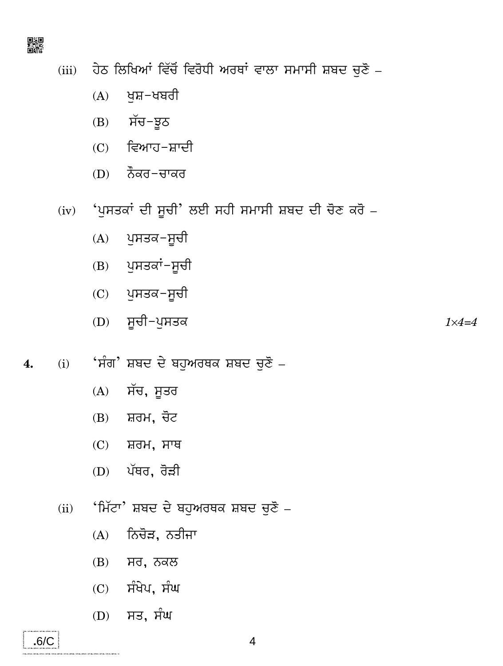

ਹੇਠ ਲਿਖਿਆਂ ਵਿੱਚੋਂ ਵਿਰੋਧੀ ਅਰਥਾਂ ਵਾਲਾ ਸਮਾਸੀ ਸ਼ਬਦ ਚੁਣੋ –  $(iii)$ 

- $(A)$ ਖਸ਼–ਖਬਰੀ
- (B) ਸੱਚ-ਝੂਠ
- (C) ਵਿਆਹ-ਸ਼ਾਦੀ
- (D) ਨੌਕਰ-ਚਾਕਰ

(iv) 'ਪੁਸਤਕਾਂ ਦੀ ਸੂਚੀ' ਲਈ ਸਹੀ ਸਮਾਸੀ ਸ਼ਬਦ ਦੀ ਚੋਣ ਕਰੋ -

- (A) ਪਸਤਕ-ਸੂਚੀ
- (B) ਪੁਸਤਕਾਂ-ਸੂਚੀ
- (C) ਪੁਸਤਕ-ਸੂਚੀ
- (D) ਸੂਚੀ-ਪੁਸਤਕ  $1 \times 4 = 4$
- 'ਸੰਗ' ਸ਼ਬਦ ਦੇ ਬਹੁਅਰਥਕ ਸ਼ਬਦ ਚੁਣੋ <sub>−</sub>  $(i)$ 4.
	- $(A)$ ਸੱਚ, ਸੂਤਰ
	- ਸ਼ਰਮ, ਚੋਟ  $(B)$
	- $(C)$  ਸ਼ਰਮ, ਸਾਥ
	- $(D)$  ਪੱਥਰ, ਰੋੜੀ
	- 'ਮਿੱਟਾ' ਸ਼ਬਦ ਦੇ ਬਹੁਅਰਥਕ ਸ਼ਬਦ ਚੁਣੋ <sub>−</sub>  $(ii)$ 
		- $(A)$ ਨਿਚੋੜ, ਨਤੀਜਾ
		- (B) ਸਰ, ਨਕਲ
		- $(C)$  ਸੰਖੇਪ, ਸੰਘ
		- (D) ਸਤ, ਸੰਘ

.<br>2012 - 2021 - 2022 - 2022 - 2022 - 2022 - 2022 - 2022 - 2022 - 2022 - 2022 - 2022 - 2022 - 2022 - 2022 - 2022

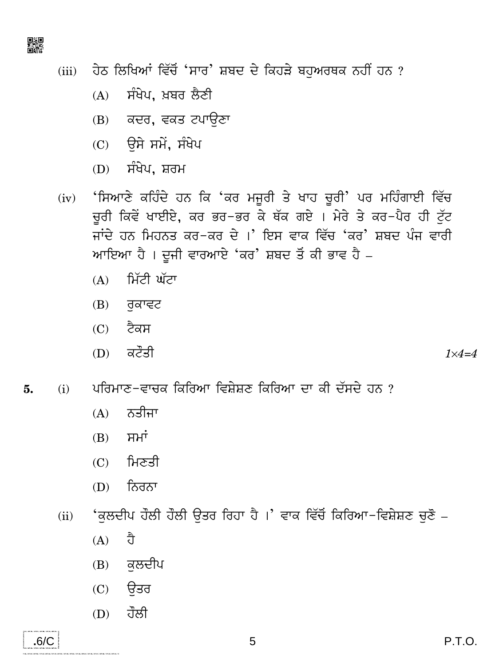

ਹੇਠ ਲਿਖਿਆਂ ਵਿੱਚੋਂ 'ਸਾਰ' ਸ਼ਬਦ ਦੇ ਕਿਹੜੇ ਬਹੁਅਰਥਕ ਨਹੀਂ ਹਨ ?  $(iii)$ 

- ਸੰਖੇਪ, ਖ਼ਬਰ ਲੈਣੀ  $(A)$
- (B) ਕਦਰ, ਵਕਤ ਟਪਾਉਣਾ
- $(C)$  ਉਸੇ ਸਮੇਂ, ਸੰਖੇਪ
- (D) ਸੰਖੇਪ, ਸ਼ਰਮ
- 'ਸਿਆਣੇ ਕਹਿੰਦੇ ਹਨ ਕਿ 'ਕਰ ਮਜੂਰੀ ਤੇ ਖਾਹ ਚੂਰੀ' ਪਰ ਮਹਿੰਗਾਈ ਵਿੱਚ  $(iv)$ ਚਰੀ ਕਿਵੇਂ ਖਾਈਏ, ਕਰ ਭਰ−ਭਰ ਕੇ ਥੱਕ ਗਏ । ਮੇਰੇ ਤੇ ਕਰ−ਪੈਰ ਹੀ ਟੁੱਟ ਜਾਂਦੇ ਹਨ ਮਿਹਨਤ ਕਰ−ਕਰ ਦੇ ।' ਇਸ ਵਾਕ ਵਿੱਚ 'ਕਰ' ਸ਼ਬਦ ਪੰਜ ਵਾਰੀ ਆਇਆ ਹੈ। ਦੂਜੀ ਵਾਰਆਏ 'ਕਰ' ਸ਼ਬਦ ਤੋਂ ਕੀ ਭਾਵ ਹੈ –
	- ਮਿੱਟੀ ਘੱਟਾ  $(A)$
	- $(B)$  ਰਕਾਵਟ
	- $(C)$  ਟੈਕਸ
	- $(D)$  ਕਟੌਤੀ

 $1 \times 4 = 4$ 

- ਪਰਿਮਾਣ-ਵਾਚਕ ਕਿਰਿਆ ਵਿਸ਼ੇਸ਼ਣ ਕਿਰਿਆ ਦਾ ਕੀ ਦੱਸਦੇ ਹਨ ? 5.  $(i)$ 
	- ਨਤੀਜਾ  $(A)$
	- ਸਮਾਂ  $(B)$
	- $(C)$  ਮਿਣਤੀ
	- ਨਿਰਨਾ  $(D)$
	- 'ਕਲਦੀਪ ਹੌਲੀ ਹੌਲੀ ਉਤਰ ਰਿਹਾ ਹੈ ।' ਵਾਕ ਵਿੱਚੋਂ ਕਿਰਿਆ–ਵਿਸ਼ੇਸ਼ਣ ਚਣੋਂ  $(ii)$ 
		- ਹੈ  $(A)$
		- ਕਲਦੀਪ  $(B)$
		- $(C)$  ਉਤਰ
		- ਹੌਲੀ  $(D)$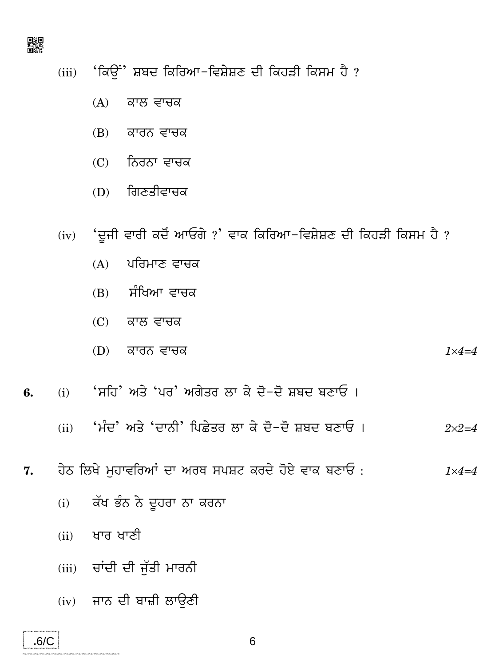

- (iii) 'ਕਿਉਂ' ਸ਼ਬਦ ਕਿਰਿਆ-ਵਿਸ਼ੇਸ਼ਣ ਦੀ ਕਿਹੜੀ ਕਿਸਮ ਹੈ?
	- $(A)$ ਕਾਲ ਵਾਚਕ
	- (B) ਕਾਰਨ ਵਾਚਕ
	- (C) ਨਿਰਨਾ ਵਾਚਕ
	- (D) ਗਿਣਤੀਵਾਚਕ
- (iv) 'ਦੂਜੀ ਵਾਰੀ ਕਦੋਂ ਆਓਗੇ ?' ਵਾਕ ਕਿਰਿਆ-ਵਿਸ਼ੇਸ਼ਣ ਦੀ ਕਿਹੜੀ ਕਿਸਮ ਹੈ ?
	- ਪਰਿਮਾਣ ਵਾਚਕ  $(A)$
	- (B) ਸੰਖਿਆ ਵਾਚਕ
	- $(C)$  ਕਾਲ ਵਾਚਕ
	- (D) ਕਾਰਨ ਵਾਚਕ  $1 \times 4 = 4$
- (i) 'ਸਹਿ' ਅਤੇ 'ਪਰ' ਅਗੇਤਰ ਲਾ ਕੇ ਦੋ−ਦੋ ਸ਼ਬਦ ਬਣਾਓ । 6.
	- (ii) ਸੰਦ' ਅਤੇ 'ਦਾਨੀ' ਪਿਛੇਤਰ ਲਾ ਕੇ ਦੋ−ਦੋ ਸ਼ਬਦ ਬਣਾਓ ।  $2 \times 2 = 4$
- ਹੇਠ ਲਿਖੇ ਮੁਹਾਵਰਿਆਂ ਦਾ ਅਰਥ ਸਪਸ਼ਟ ਕਰਦੇ ਹੋਏ ਵਾਕ ਬਣਾਓ: 7.  $1\times 4=4$ 
	- ਕੱਖ ਭੰਨ ਨੇ ਦੂਹਰਾ ਨਾ ਕਰਨਾ  $(i)$
	- (ii) ਖਾਰ ਖਾਣੀ

 $.6/C$ 

- (iii) ਚਾਂਦੀ ਦੀ ਜੱਤੀ ਮਾਰਨੀ
- (iv) ਜਾਨ ਦੀ ਬਾਜ਼ੀ ਲਾਉਣੀ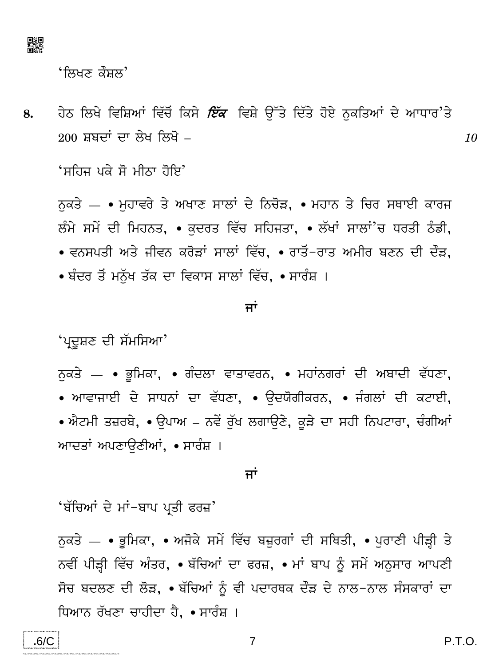

<u>'ਲਿਖਣ ਕੌਸ਼ਲ'</u>

ਹੇਠ ਲਿਖੇ ਵਿਸ਼ਿਆਂ ਵਿੱਚੋਂ ਕਿਸੇ *ਇੱਕ* ਵਿਸ਼ੇ ਉੱਤੇ ਦਿੱਤੇ ਹੋਏ ਨਕਤਿਆਂ ਦੇ ਆਧਾਰ'ਤੇ 8. 200 ਸ਼ਬਦਾਂ ਦਾ ਲੇਖ ਲਿਖੋ –

'ਸਹਿਜ ਪਕੇ ਸੋ ਮੀਨਾ ਹੋਇ'

ਨਕਤੇ — • ਮੁਹਾਵਰੇ ਤੇ ਅਖਾਣ ਸਾਲਾਂ ਦੇ ਨਿਚੋੜ, • ਮਹਾਨ ਤੇ ਚਿਰ ਸਥਾਈ ਕਾਰਜ ਲੰਮੇ ਸਮੇਂ ਦੀ ਮਿਹਨਤ, ∙ ਕਦਰਤ ਵਿੱਚ ਸਹਿਜਤਾ, ∙ ਲੱਖਾਂ ਸਾਲਾਂ'ਚ ਧਰਤੀ ਠੰਡੀ, • ਵਨਸਪਤੀ ਅਤੇ ਜੀਵਨ ਕਰੋੜਾਂ ਸਾਲਾਂ ਵਿੱਚ, • ਰਾਤੋਂ−ਰਾਤ ਅਮੀਰ ਬਣਨ ਦੀ ਦੌੜ, ∙ ਬੰਦਰ ਤੋਂ ਮਨੱਖ ਤੱਕ ਦਾ ਵਿਕਾਸ ਸਾਲਾਂ ਵਿੱਚ, ∙ ਸਾਰੰਸ਼ ।

#### ਜਾਂ

'ਪ੍ਰਦੂਸ਼ਣ ਦੀ ਸੱਮਸਿਆ'

ਨੁਕਤੇ — ∙ ਭੂਮਿਕਾ, ∙ ਗੰਦਲਾ ਵਾਤਾਵਰਨ, ∙ ਮਹਾਂਨਗਰਾਂ ਦੀ ਅਬਾਦੀ ਵੱਧਣਾ, • ਆਵਾਜਾਈ ਦੇ ਸਾਧਨਾਂ ਦਾ ਵੱਧਣਾ, • ਉਦਯੋਗੀਕਰਨ, • ਜੰਗਲਾਂ ਦੀ ਕਟਾਈ, • ਐਟਮੀ ਤਜ਼ਰਬੇ, • ਉਪਾਅ – ਨਵੇਂ ਰੁੱਖ ਲਗਾਉਣੇ, ਕੁੜੇ ਦਾ ਸਹੀ ਨਿਪਟਾਰਾ, ਚੰਗੀਆਂ ਆਦਤਾਂ ਅਪਣਾਉਣੀਆਂ, • ਸਾਰੰਸ਼ ।

#### ਜਾਂ

'ਬੱਚਿਆਂ ਦੇ ਮਾਂ−ਬਾਪ ਪ੍ਰਤੀ ਫਰਜ਼'

ਨੁਕਤੇ — • ਭੂਮਿਕਾ, • ਅਜੋਕੇ ਸਮੇਂ ਵਿੱਚ ਬਜ਼ੁਰਗਾਂ ਦੀ ਸਥਿਤੀ, • ਪੁਰਾਣੀ ਪੀੜ੍ਹੀ ਤੇ ਨਵੀਂ ਪੀੜ੍ਹੀ ਵਿੱਚ ਅੰਤਰ, • ਬੱਚਿਆਂ ਦਾ ਫਰਜ਼, • ਮਾਂ ਬਾਪ ਨੂੰ ਸਮੇਂ ਅਨੁਸਾਰ ਆਪਣੀ ਸੋਚ ਬਦਲਣ ਦੀ ਲੋੜ, • ਬੱਚਿਆਂ ਨੂੰ ਵੀ ਪਦਾਰਥਕ ਦੌੜ ਦੇ ਨਾਲ−ਨਾਲ ਸੰਸਕਾਰਾਂ ਦਾ ਧਿਆਨ ਰੱਖਣਾ ਚਾਹੀਦਾ ਹੈ, ∙ ਸਾਰੰਸ਼ ।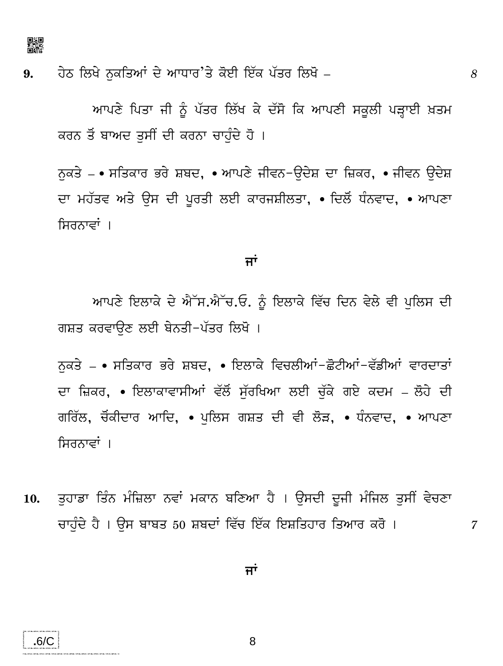

.6/C

ਹੇਠ ਲਿਖੇ ਨਕਤਿਆਂ ਦੇ ਆਧਾਰ'ਤੇ ਕੋਈ ਇੱਕ ਪੱਤਰ ਲਿਖੋ –  $9<sub>1</sub>$ 

> ਆਪਣੇ ਪਿਤਾ ਜੀ ਨੂੰ ਪੱਤਰ ਲਿੱਖ ਕੇ ਦੱਸੋ ਕਿ ਆਪਣੀ ਸਕੂਲੀ ਪੜ੍ਹਾਈ ਖ਼ਤਮ ਕਰਨ ਤੋਂ ਬਾਅਦ ਤੁਸੀਂ ਦੀ ਕਰਨਾ ਚਾਹੁੰਦੇ ਹੋ ।

> ਨਕਤੇ – • ਸਤਿਕਾਰ ਭਰੇ ਸ਼ਬਦ, • ਆਪਣੇ ਜੀਵਨ−ਉਦੇਸ਼ ਦਾ ਜ਼ਿਕਰ, • ਜੀਵਨ ਉਦੇਸ਼ ਦਾ ਮਹੱਤਵ ਅਤੇ ਉਸ ਦੀ ਪੂਰਤੀ ਲਈ ਕਾਰਜਸ਼ੀਲਤਾ, • ਦਿਲੋਂ ਧੰਨਵਾਦ, • ਆਪਣਾ ਸਿਰਨਾਵਾਂ ।

#### ਜਾਂ

ਆਪਣੇ ਇਲਾਕੇ ਦੇ ਐੱਸ.ਐੱਚ.ਓ. ਨੂੰ ਇਲਾਕੇ ਵਿੱਚ ਦਿਨ ਵੇਲੇ ਵੀ ਪੁਲਿਸ ਦੀ ਗਸ਼ਤ ਕਰਵਾੳਣ ਲਈ ਬੇਨਤੀ−ਪੱਤਰ ਲਿਖੋ ।

ਨਕਤੇ – • ਸਤਿਕਾਰ ਭਰੇ ਸ਼ਬਦ, • ਇਲਾਕੇ ਵਿਚਲੀਆਂ-ਛੋਟੀਆਂ-ਵੱਡੀਆਂ ਵਾਰਦਾਤਾਂ ਦਾ ਜ਼ਿਕਰ, ∙ ਇਲਾਕਾਵਾਸੀਆਂ ਵੱਲੋਂ ਸੱਰਖਿਆ ਲਈ ਚੱਕੇ ਗਏ ਕਦਮ – ਲੋਹੇ ਦੀ ਗਰਿੱਲ, ਚੋਂਕੀਦਾਰ ਆਦਿ, • ਪਲਿਸ ਗਸ਼ਤ ਦੀ ਵੀ ਲੋੜ, • ਧੰਨਵਾਦ, • ਆਪਣਾ ਸਿਰਨਾਵਾਂ ।

ਤਹਾਡਾ ਤਿੰਨ ਮੰਜ਼ਿਲਾ ਨਵਾਂ ਮਕਾਨ ਬਣਿਆ ਹੈ । ਉਸਦੀ ਦੂਜੀ ਮੰਜਿਲ ਤਸੀਂ ਵੇਚਣਾ 10. ਚਾਹੰਦੇ ਹੈ । ਉਸ ਬਾਬਤ 50 ਸ਼ਬਦਾਂ ਵਿੱਚ ਇੱਕ ਇਸ਼ਤਿਹਾਰ ਤਿਆਰ ਕਰੋ ।

 $\mathcal T$ 

ਜਾਂ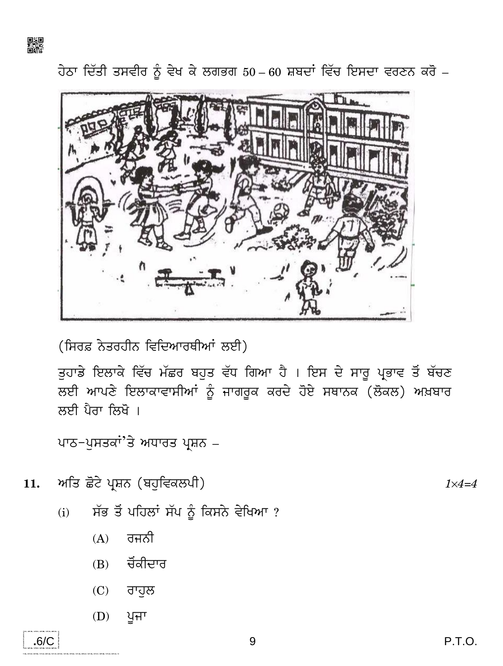

ਹੇਠਾ ਦਿੱਤੀ ਤਸਵੀਰ ਨੂੰ ਵੇਖ ਕੇ ਲਗਭਗ 50 – 60 ਸ਼ਬਦਾਂ ਵਿੱਚ ਇਸਦਾ ਵਰਣਨ ਕਰੋ –



(ਸਿਰਫ਼ ਨੇਤਰਹੀਨ ਵਿਦਿਆਰਥੀਆਂ ਲਈ)

ਤੁਹਾਡੇ ਇਲਾਕੇ ਵਿੱਚ ਮੱਛਰ ਬਹੁਤ ਵੱਧ ਗਿਆ ਹੈ । ਇਸ ਦੇ ਸਾਰੂ ਪ੍ਰਭਾਵ ਤੋਂ ਬੱਚਣ ਲਈ ਆਪਣੇ ਇਲਾਕਾਵਾਸੀਆਂ ਨੂੰ ਜਾਗਰੂਕ ਕਰਦੇ ਹੋਏ ਸਥਾਨਕ (ਲੋਕਲ) ਅਖ਼ਬਾਰ ਲਈ ਪੈਰਾ ਲਿਖੋ ।

ਪਾਠ-ਪੁਸਤਕਾਂ'ਤੇ ਅਧਾਰਤ ਪ੍ਰਸ਼ਨ –

- ਅਤਿ ਛੋਟੇ ਪ੍ਰਸ਼ਨ (ਬਹੁਵਿਕਲਪੀ) 11.
	- ਸੱਭ ਤੋਂ ਪਹਿਲਾਂ ਸੱਪ ਨੂੰ ਕਿਸਨੇ ਵੇਖਿਆ ?  $(i)$ 
		- $(A)$ ਰਜਨੀ
		- (B) ਚੋਂਕੀਦਾਰ
		- (C) ਰਾਹੁਲ
		- $(D)$ ਪੁਜਾ



P.T.O.

 $1 \times 4 = 4$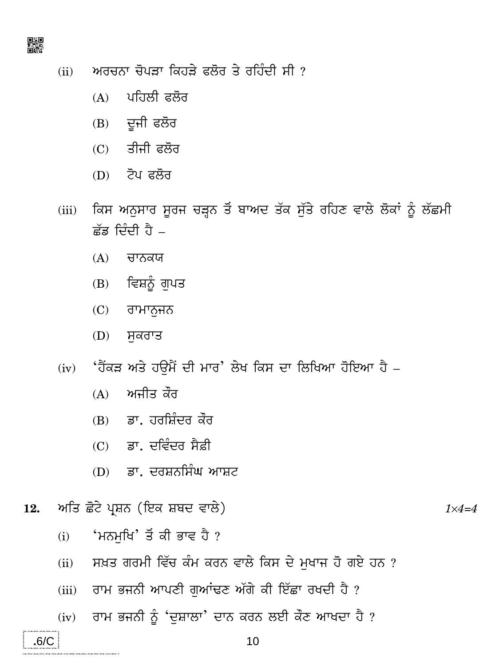

- ਅਰਚਨਾ ਚੋਪੜਾ ਕਿਹੜੇ ਫਲੋਰ ਤੇ ਰਹਿੰਦੀ ਸੀ ?  $(ii)$ 
	- (A) ਪਹਿਲੀ ਫਲੋਰ
	- (B) ਦੂਜੀ ਫਲੋਰ
	- $(C)$  ਤੀਜੀ ਫਲੋਰ
	- $(D)$  ਟੋਪ ਫਲੋਰ
- ਕਿਸ ਅਨੁਸਾਰ ਸੂਰਜ ਚੜ੍ਹਨ ਤੋਂ ਬਾਅਦ ਤੱਕ ਸੁੱਤੇ ਰਹਿਣ ਵਾਲੇ ਲੋਕਾਂ ਨੂੰ ਲੱਛਮੀ  $(iii)$ ਛੱਡ ਦਿੰਦੀ ਹੈ –
	- $(A)$ ਚਾਨਕਯ
	- ਵਿਸ਼ਨੂੰ ਗੁਪਤ  $(B)$
	- ਰਾਮਾਨਜਨ  $(C)$
	- ਸਕਰਾਤ  $(D)$
- (iv) 'ਹੈਂਕੜ ਅਤੇ ਹੳਮੈਂ ਦੀ ਮਾਰ' ਲੇਖ ਕਿਸ ਦਾ ਲਿਖਿਆ ਹੋਇਆ ਹੈ
	- ਅਜੀਤ ਕੌਰ  $(A)$
	- (B) ਡਾ. ਹਰਸ਼ਿੰਦਰ ਕੌਰ
	- (C) ਡਾ. ਦਵਿੰਦਰ ਸੈਫ਼ੀ
	- (D) ਡਾ. ਦਰਸ਼ਨਸਿੰਘ ਆਸ਼ਟ

ਅਤਿ ਛੋਟੇ ਪ੍ਰਸ਼ਨ (ਇਕ ਸ਼ਬਦ ਵਾਲੇ) 12.

 $.6/C$ 

.<br>A voltan al va prae al variose antiche voltant del variose antiche vol

- 'ਮਨਮਖਿ' ਤੋਂ ਕੀ ਭਾਵ ਹੈ ?  $(i)$
- ਸਖ਼ਤ ਗਰਮੀ ਵਿੱਚ ਕੰਮ ਕਰਨ ਵਾਲੇ ਕਿਸ ਦੇ ਮੁਖਾਜ ਹੋ ਗਏ ਹਨ ?  $(ii)$
- ਰਾਮ ਭਜਨੀ ਆਪਣੀ ਗੁਆਂਢਣ ਅੱਗੇ ਕੀ ਇੱਛਾ ਰਖਦੀ ਹੈ ?  $(iii)$
- ਰਾਮ ਭਜਨੀ ਨੂੰ 'ਦਸ਼ਾਲਾ' ਦਾਨ ਕਰਨ ਲਈ ਕੌਣ ਆਖਦਾ ਹੈ ?  $(iv)$

 $1 \times 4 = 4$